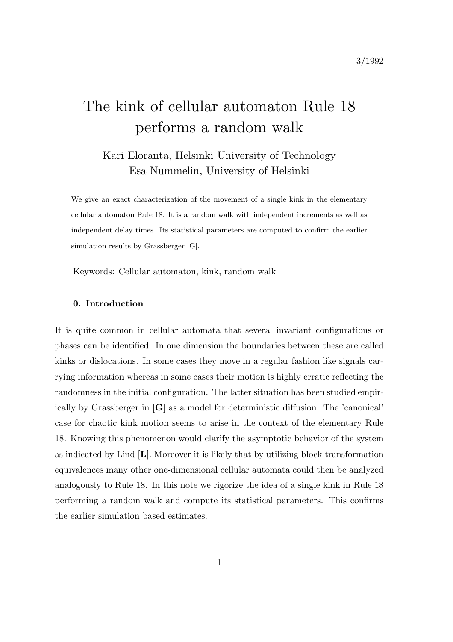# The kink of cellular automaton Rule 18 performs a random walk

# Kari Eloranta, Helsinki University of Technology Esa Nummelin, University of Helsinki

We give an exact characterization of the movement of a single kink in the elementary cellular automaton Rule 18. It is a random walk with independent increments as well as independent delay times. Its statistical parameters are computed to confirm the earlier simulation results by Grassberger [G].

Keywords: Cellular automaton, kink, random walk

#### 0. Introduction

It is quite common in cellular automata that several invariant configurations or phases can be identified. In one dimension the boundaries between these are called kinks or dislocations. In some cases they move in a regular fashion like signals carrying information whereas in some cases their motion is highly erratic reflecting the randomness in the initial configuration. The latter situation has been studied empirically by Grassberger in [G] as a model for deterministic diffusion. The 'canonical' case for chaotic kink motion seems to arise in the context of the elementary Rule 18. Knowing this phenomenon would clarify the asymptotic behavior of the system as indicated by Lind [L]. Moreover it is likely that by utilizing block transformation equivalences many other one-dimensional cellular automata could then be analyzed analogously to Rule 18. In this note we rigorize the idea of a single kink in Rule 18 performing a random walk and compute its statistical parameters. This confirms the earlier simulation based estimates.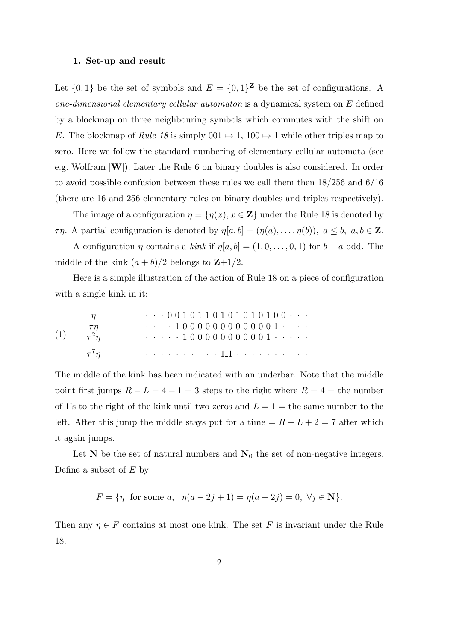#### 1. Set-up and result

Let  $\{0,1\}$  be the set of symbols and  $E = \{0,1\}^{\mathbf{Z}}$  be the set of configurations. A one-dimensional elementary cellular automaton is a dynamical system on E defined by a blockmap on three neighbouring symbols which commutes with the shift on E. The blockmap of Rule 18 is simply  $0.01 \rightarrow 1$ ,  $100 \rightarrow 1$  while other triples map to zero. Here we follow the standard numbering of elementary cellular automata (see e.g. Wolfram [W]). Later the Rule 6 on binary doubles is also considered. In order to avoid possible confusion between these rules we call them then 18/256 and 6/16 (there are 16 and 256 elementary rules on binary doubles and triples respectively).

The image of a configuration  $\eta = {\eta(x), \, x \in \mathbb{Z}}$  under the Rule 18 is denoted by  $\tau\eta$ . A partial configuration is denoted by  $\eta[a, b] = (\eta(a), \ldots, \eta(b)), a \leq b, a, b \in \mathbb{Z}$ .

A configuration  $\eta$  contains a kink if  $\eta[a, b] = (1, 0, \ldots, 0, 1)$  for  $b - a$  odd. The middle of the kink  $(a + b)/2$  belongs to  $\mathbb{Z}+1/2$ .

Here is a simple illustration of the action of Rule 18 on a piece of configuration with a single kink in it:

(1) 
$$
\begin{array}{c}\n\eta \\
\tau\eta \\
\tau^2\eta \\
\tau^7\eta\n\end{array}\n\qquad \cdots 0 0 1 0 1 0 1 0 1 0 1 0 1 0 0 0 \cdots
$$
\n
$$
\tau\eta\n\qquad \cdots 1 0 0 0 0 0 0 0 0 0 0 0 0 1 \cdots
$$
\n
$$
\tau^7\eta\n\qquad \cdots \cdots 1 1 0 \cdots 1 1 0 \cdots
$$

The middle of the kink has been indicated with an underbar. Note that the middle point first jumps  $R - L = 4 - 1 = 3$  steps to the right where  $R = 4 =$  the number of 1's to the right of the kink until two zeros and  $L = 1 =$  the same number to the left. After this jump the middle stays put for a time  $= R + L + 2 = 7$  after which it again jumps.

Let  $N$  be the set of natural numbers and  $N_0$  the set of non-negative integers. Define a subset of  $E$  by

 $F = \{\eta | \text{ for some } a, \eta(a-2j+1) = \eta(a+2j) = 0, \forall j \in \mathbb{N} \}.$ 

Then any  $\eta \in F$  contains at most one kink. The set F is invariant under the Rule 18.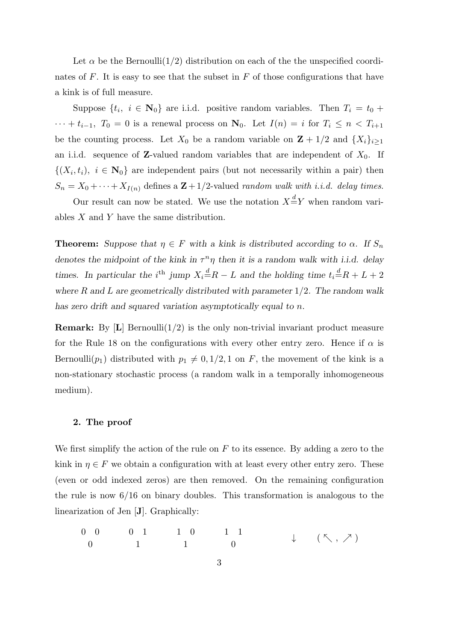Let  $\alpha$  be the Bernoulli(1/2) distribution on each of the the unspecified coordinates of  $F$ . It is easy to see that the subset in  $F$  of those configurations that have a kink is of full measure.

Suppose  $\{t_i, i \in \mathbb{N}_0\}$  are i.i.d. positive random variables. Then  $T_i = t_0 +$  $\cdots + t_{i-1}$ ,  $T_0 = 0$  is a renewal process on  $\mathbf{N}_0$ . Let  $I(n) = i$  for  $T_i \leq n < T_{i+1}$ be the counting process. Let  $X_0$  be a random variable on  $\mathbf{Z} + 1/2$  and  $\{X_i\}_{i\geq 1}$ an i.i.d. sequence of **Z**-valued random variables that are independent of  $X_0$ . If  $\{(X_i,t_i), i \in \mathbb{N}_0\}$  are independent pairs (but not necessarily within a pair) then  $S_n = X_0 + \cdots + X_{I(n)}$  defines a  $\mathbb{Z} + 1/2$ -valued *random walk with i.i.d.* delay times.

Our result can now be stated. We use the notation  $X \stackrel{d}{=} Y$  when random variables  $X$  and  $Y$  have the same distribution.

**Theorem:** Suppose that  $\eta \in F$  with a kink is distributed according to  $\alpha$ . If  $S_n$ denotes the midpoint of the kink in  $\tau^n \eta$  then it is a random walk with i.i.d. delay times. In particular the i<sup>th</sup> jump  $X_i \stackrel{d}{=} R - L$  and the holding time  $t_i \stackrel{d}{=} R + L + 2$ where  $R$  and  $L$  are geometrically distributed with parameter  $1/2$ . The random walk has zero drift and squared variation asymptotically equal to n.

**Remark:** By  $[L]$  Bernoulli $(1/2)$  is the only non-trivial invariant product measure for the Rule 18 on the configurations with every other entry zero. Hence if  $\alpha$  is Bernoulli( $p_1$ ) distributed with  $p_1 \neq 0, 1/2, 1$  on F, the movement of the kink is a non-stationary stochastic process (a random walk in a temporally inhomogeneous medium).

#### 2. The proof

We first simplify the action of the rule on  $F$  to its essence. By adding a zero to the kink in  $\eta \in F$  we obtain a configuration with at least every other entry zero. These (even or odd indexed zeros) are then removed. On the remaining configuration the rule is now 6/16 on binary doubles. This transformation is analogous to the linearization of Jen [J]. Graphically:

$$
\begin{array}{ccccccccc}\n0 & 0 & 0 & 1 & 1 & 0 & 1 & 1 \\
0 & 0 & 1 & 1 & 0 & 0 & \downarrow & (\nwarrow, \nearrow)\n\end{array}
$$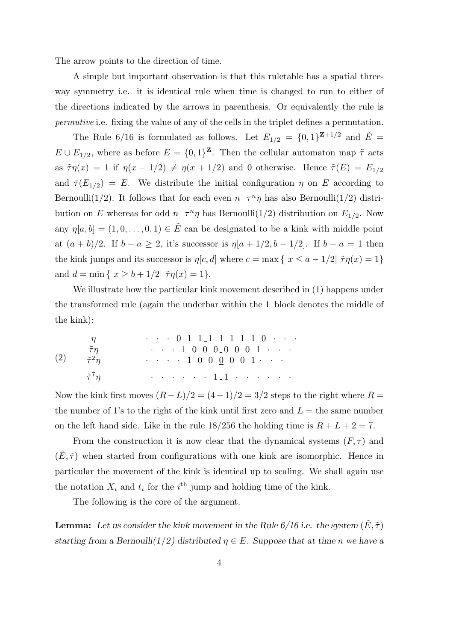The arrow points to the direction of time.

A simple but important observation is that this ruletable has a spatial threeway symmetry i.e. it is identical rule when time is changed to run to either of the directions indicated by the arrows in parenthesis. Or equivalently the rule is permutive i.e. fixing the value of any of the cells in the triplet defines a permutation.

The Rule 6/16 is formulated as follows. Let  $E_{1/2} = \{0,1\}^{\mathbf{Z}+1/2}$  and  $\tilde{E} =$  $E \cup E_{1/2}$ , where as before  $E = \{0, 1\}^{\mathbf{Z}}$ . Then the cellular automaton map  $\tilde{\tau}$  acts as  $\tilde{\tau}\eta(x) = 1$  if  $\eta(x - 1/2) \neq \eta(x + 1/2)$  and 0 otherwise. Hence  $\tilde{\tau}(E) = E_{1/2}$ and  $\tilde{\tau}(E_{1/2}) = E$ . We distribute the initial configuration  $\eta$  on E according to Bernoulli(1/2). It follows that for each even  $n \tau^n \eta$  has also Bernoulli(1/2) distribution on E whereas for odd  $n \tau^n \eta$  has Bernoulli(1/2) distribution on  $E_{1/2}$ . Now any  $\eta[a, b] = (1, 0, \ldots, 0, 1) \in \tilde{E}$  can be designated to be a kink with middle point at  $(a + b)/2$ . If  $b - a \geq 2$ , it's successor is  $\eta[a + 1/2, b - 1/2]$ . If  $b - a = 1$  then the kink jumps and its successor is  $\eta[c, d]$  where  $c = \max\{x \le a - 1/2 | \tau\eta(x) = 1\}$ and  $d = \min \{ x \ge b + 1/2 | \tilde{\tau} \eta(x) = 1 \}.$ 

We illustrate how the particular kink movement described in (1) happens under the transformed rule (again the underbar within the 1–block denotes the middle of the kink):

(2) η · · · 0 1 1 1 1 1 1 1 0 · · · τη˜ · · · 1 0 0 0 0 0 0 1 · · · τ˜ <sup>2</sup>η · · · · 1 0 0 0 0 0 1 · · · τ˜ <sup>7</sup>η · · · · · · 1 1 · · · · · ·

Now the kink first moves  $(R - L)/2 = (4 - 1)/2 = 3/2$  steps to the right where  $R =$ the number of 1's to the right of the kink until first zero and  $L =$  the same number on the left hand side. Like in the rule  $18/256$  the holding time is  $R + L + 2 = 7$ .

From the construction it is now clear that the dynamical systems  $(F, \tau)$  and  $(E, \tilde{\tau})$  when started from configurations with one kink are isomorphic. Hence in particular the movement of the kink is identical up to scaling. We shall again use the notation  $X_i$  and  $t_i$  for the i<sup>th</sup> jump and holding time of the kink.

The following is the core of the argument.

**Lemma:** Let us consider the kink movement in the Rule  $6/16$  i.e. the system  $(\tilde{E}, \tilde{\tau})$ starting from a Bernoulli(1/2) distributed  $\eta \in E$ . Suppose that at time n we have a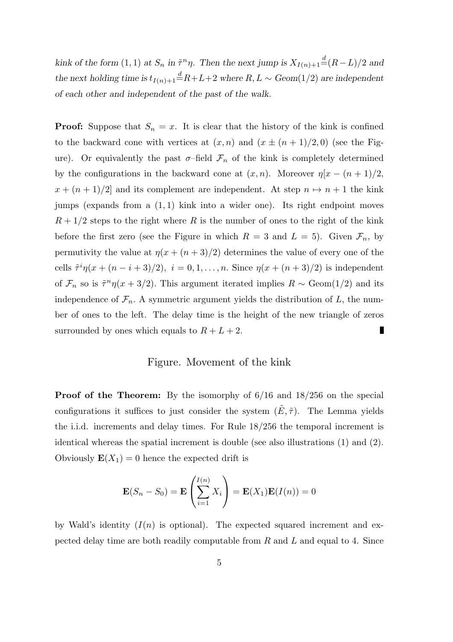kink of the form (1, 1) at  $S_n$  in  $\tilde{\tau}^n \eta$ . Then the next jump is  $X_{I(n)+1} \stackrel{d}{=} (R-L)/2$  and the next holding time is  $t_{I(n)+1}$   $\stackrel{d}{=}$  R+L+2 where R, L  $\sim$  Geom(1/2) are independent of each other and independent of the past of the walk.

**Proof:** Suppose that  $S_n = x$ . It is clear that the history of the kink is confined to the backward cone with vertices at  $(x, n)$  and  $(x \pm (n + 1)/2, 0)$  (see the Figure). Or equivalently the past  $\sigma$ -field  $\mathcal{F}_n$  of the kink is completely determined by the configurations in the backward cone at  $(x, n)$ . Moreover  $\eta[x - (n+1)/2]$ ,  $x + (n + 1)/2$  and its complement are independent. At step  $n \mapsto n + 1$  the kink jumps (expands from a (1, 1) kink into a wider one). Its right endpoint moves  $R + 1/2$  steps to the right where R is the number of ones to the right of the kink before the first zero (see the Figure in which  $R = 3$  and  $L = 5$ ). Given  $\mathcal{F}_n$ , by permutivity the value at  $\eta(x + (n+3)/2)$  determines the value of every one of the cells  $\tilde{\tau}^i \eta(x + (n - i + 3)/2), i = 0, 1, \ldots, n$ . Since  $\eta(x + (n + 3)/2)$  is independent of  $\mathcal{F}_n$  so is  $\tilde{\tau}^n \eta(x+3/2)$ . This argument iterated implies  $R \sim \text{Geom}(1/2)$  and its independence of  $\mathcal{F}_n$ . A symmetric argument yields the distribution of L, the number of ones to the left. The delay time is the height of the new triangle of zeros surrounded by ones which equals to  $R + L + 2$ .

# Figure. Movement of the kink

Proof of the Theorem: By the isomorphy of 6/16 and 18/256 on the special configurations it suffices to just consider the system  $(\tilde{E}, \tilde{\tau})$ . The Lemma yields the i.i.d. increments and delay times. For Rule 18/256 the temporal increment is identical whereas the spatial increment is double (see also illustrations (1) and (2). Obviously  $\mathbf{E}(X_1) = 0$  hence the expected drift is

$$
\mathbf{E}(S_n - S_0) = \mathbf{E}\left(\sum_{i=1}^{I(n)} X_i\right) = \mathbf{E}(X_1)\mathbf{E}(I(n)) = 0
$$

by Wald's identity  $(I(n))$  is optional). The expected squared increment and expected delay time are both readily computable from  $R$  and  $L$  and equal to 4. Since